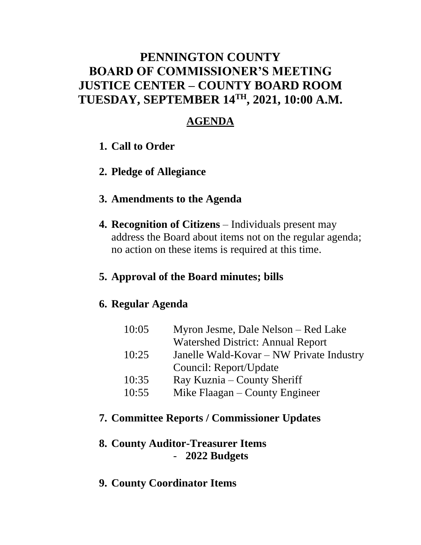# **PENNINGTON COUNTY BOARD OF COMMISSIONER'S MEETING JUSTICE CENTER – COUNTY BOARD ROOM TUESDAY, SEPTEMBER 14TH , 2021, 10:00 A.M.**

# **AGENDA**

- **1. Call to Order**
- **2. Pledge of Allegiance**

#### **3. Amendments to the Agenda**

**4. Recognition of Citizens** – Individuals present may address the Board about items not on the regular agenda; no action on these items is required at this time.

### **5. Approval of the Board minutes; bills**

### **6. Regular Agenda**

| 10:05 | Myron Jesme, Dale Nelson – Red Lake      |
|-------|------------------------------------------|
|       | <b>Watershed District: Annual Report</b> |
| 10:25 | Janelle Wald-Kovar – NW Private Industry |
|       | Council: Report/Update                   |
| 10:35 | Ray Kuznia – County Sheriff              |
| 10:55 | Mike Flaagan – County Engineer           |

# **7. Committee Reports / Commissioner Updates**

# **8. County Auditor-Treasurer Items** - **2022 Budgets**

**9. County Coordinator Items**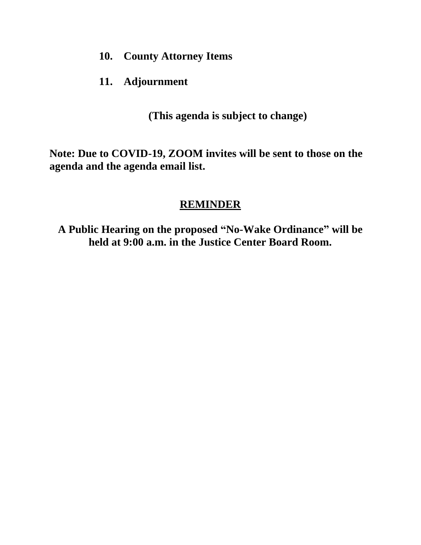- **10. County Attorney Items**
- **11. Adjournment**

**(This agenda is subject to change)**

**Note: Due to COVID-19, ZOOM invites will be sent to those on the agenda and the agenda email list.**

# **REMINDER**

**A Public Hearing on the proposed "No-Wake Ordinance" will be held at 9:00 a.m. in the Justice Center Board Room.**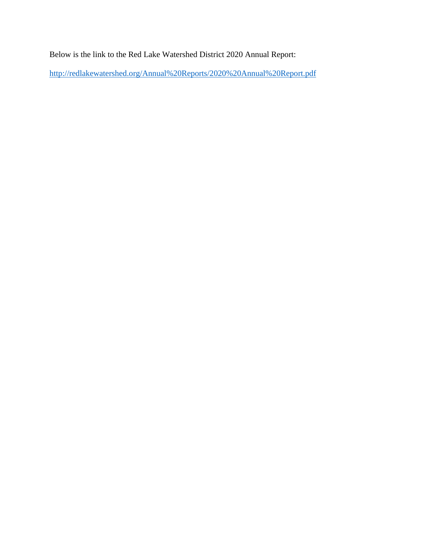Below is the link to the Red Lake Watershed District 2020 Annual Report:

<http://redlakewatershed.org/Annual%20Reports/2020%20Annual%20Report.pdf>